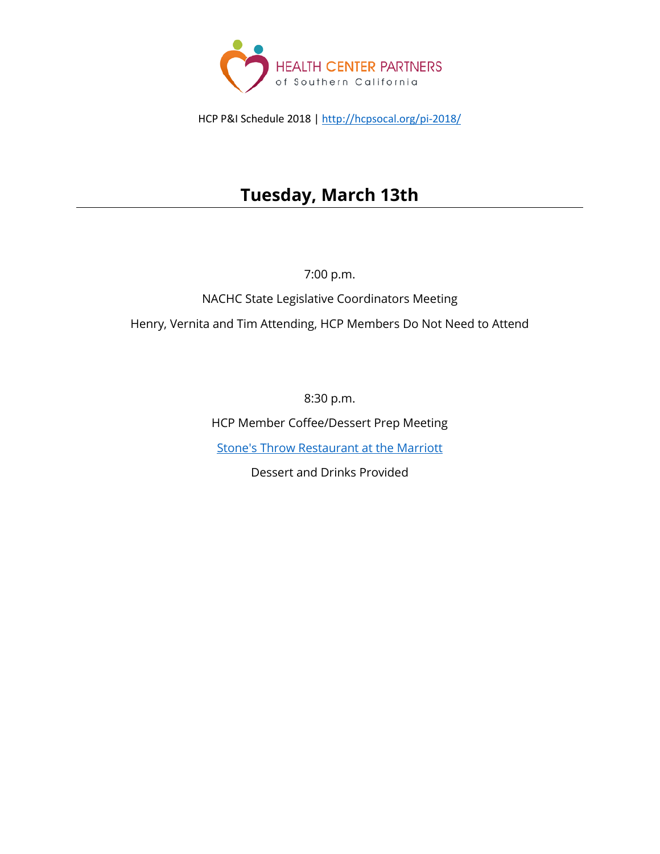

HCP P&I Schedule 2018 [| http://hcpsocal.org/pi-2018/](http://hcpsocal.org/pi-2018/)

# **Tuesday, March 13th**

7:00 p.m.

NACHC State Legislative Coordinators Meeting Henry, Vernita and Tim Attending, HCP Members Do Not Need to Attend

8:30 p.m.

HCP Member Coffee/Dessert Prep Meeting

[Stone's Throw Restaurant at the Marriott](http://www.marriott.com/hotels/hotel-information/restaurant/wasdt-washington-marriott-wardman-park/)

Dessert and Drinks Provided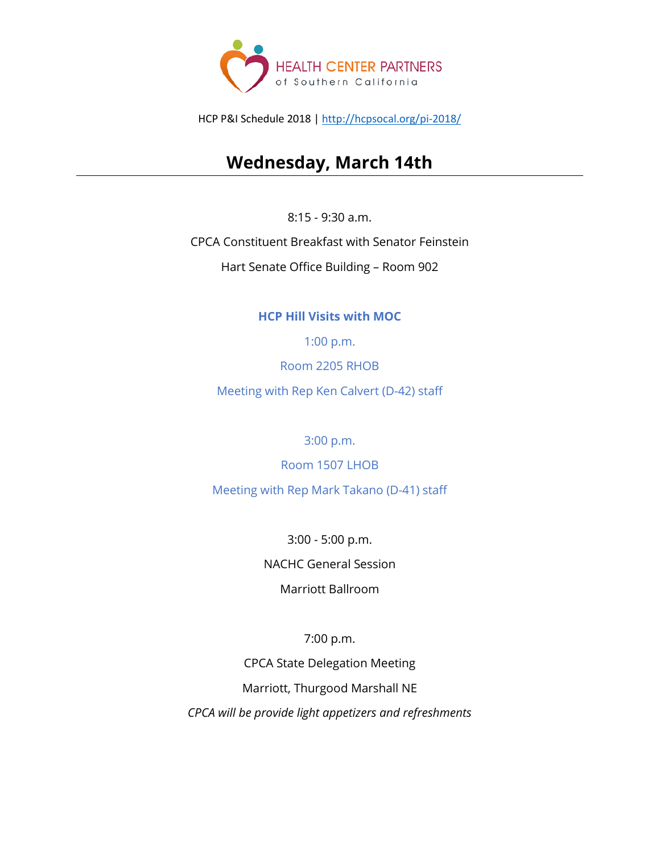

HCP P&I Schedule 2018 [| http://hcpsocal.org/pi-2018/](http://hcpsocal.org/pi-2018/)

## **Wednesday, March 14th**

8:15 - 9:30 a.m.

CPCA Constituent Breakfast with Senator Feinstein

Hart Senate Office Building – Room 902

### **HCP Hill Visits with MOC**

1:00 p.m.

Room 2205 RHOB

Meeting with Rep Ken Calvert (D-42) staff

3:00 p.m.

Room 1507 LHOB

Meeting with Rep Mark Takano (D-41) staff

3:00 - 5:00 p.m. NACHC General Session Marriott Ballroom

7:00 p.m.

CPCA State Delegation Meeting Marriott, Thurgood Marshall NE *CPCA will be provide light appetizers and refreshments*